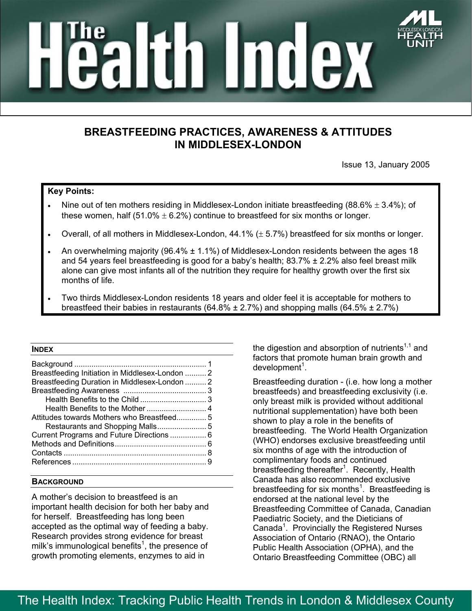

# altin Index

# **BREASTFEEDING PRACTICES, AWARENESS & ATTITUDES IN MIDDLESEX-LONDON**

Issue 13, January 2005

# **Key Points:**

- Nine out of ten mothers residing in Middlesex-London initiate breastfeeding (88.6%  $\pm$  3.4%); of these women, half  $(51.0\% \pm 6.2\%)$  continue to breastfeed for six months or longer.
- Overall, of all mothers in Middlesex-London,  $44.1\%$  ( $\pm$  5.7%) breastfeed for six months or longer.
- An overwhelming majority (96.4%  $\pm$  1.1%) of Middlesex-London residents between the ages 18 and 54 years feel breastfeeding is good for a baby's health;  $83.7\% \pm 2.2\%$  also feel breast milk alone can give most infants all of the nutrition they require for healthy growth over the first six months of life.
- Two thirds Middlesex-London residents 18 years and older feel it is acceptable for mothers to breastfeed their babies in restaurants (64.8%  $\pm$  2.7%) and shopping malls (64.5%  $\pm$  2.7%)

#### **INDEX**

| Breastfeeding Initiation in Middlesex-London  2 |  |
|-------------------------------------------------|--|
| Breastfeeding Duration in Middlesex-London  2   |  |
|                                                 |  |
|                                                 |  |
|                                                 |  |
| Attitudes towards Mothers who Breastfeed 5      |  |
|                                                 |  |
| Current Programs and Future Directions  6       |  |
|                                                 |  |
|                                                 |  |
|                                                 |  |

### **BACKGROUND**

A mother's decision to breastfeed is an important health decision for both her baby and for herself. Breastfeeding has long been accepted as the optimal way of feeding a baby. Research provides strong evidence for breast milk's immunological benefits<sup>1</sup>, the presence of growth promoting elements, enzymes to aid in

the digestion and absorption of nutrients<sup> $1,1$ </sup> and factors that promote human brain growth and  $d$ evelopment<sup>1</sup>.

Breastfeeding duration - (i.e. how long a mother breastfeeds) and breastfeeding exclusivity (i.e. only breast milk is provided without additional nutritional supplementation) have both been shown to play a role in the benefits of breastfeeding. The World Health Organization (WHO) endorses exclusive breastfeeding until six months of age with the introduction of complimentary foods and continued breastfeeding thereafter<sup>1</sup>. Recently, Health Canada has also recommended exclusive breastfeeding for six months<sup>1</sup>. Breastfeeding is endorsed at the national level by the Breastfeeding Committee of Canada, Canadian Paediatric Society, and the Dieticians of Canada<sup>1</sup>. Provincially the Registered Nurses Association of Ontario (RNAO), the Ontario Public Health Association (OPHA), and the Ontario Breastfeeding Committee (OBC) all

# The Health Index: Tracking Public Health Trends in London & Middlesex County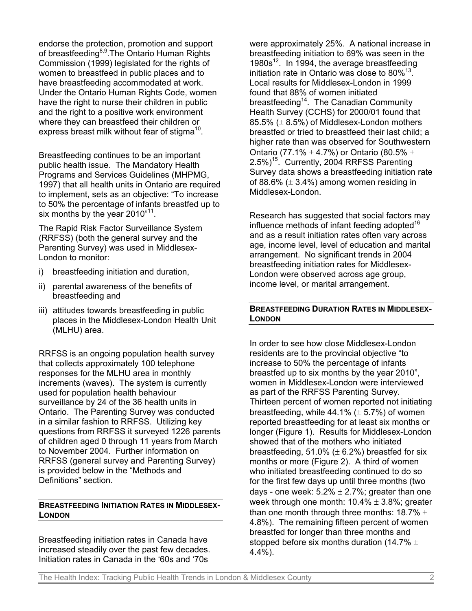endorse the protection, promotion and support of breastfeeding<sup>8,9</sup>. The Ontario Human Rights Commission (1999) legislated for the rights of women to breastfeed in public places and to have breastfeeding accommodated at work. Under the Ontario Human Rights Code, women have the right to nurse their children in public and the right to a positive work environment where they can breastfeed their children or express breast milk without fear of stigma<sup>10</sup>.

Breastfeeding continues to be an important public health issue. The Mandatory Health Programs and Services Guidelines (MHPMG, 1997) that all health units in Ontario are required to implement, sets as an objective: "To increase to 50% the percentage of infants breastfed up to six months by the year  $2010^{11}$ .

The Rapid Risk Factor Surveillance System (RRFSS) (both the general survey and the Parenting Survey) was used in Middlesex-London to monitor:

- i) breastfeeding initiation and duration,
- ii) parental awareness of the benefits of breastfeeding and
- iii) attitudes towards breastfeeding in public places in the Middlesex-London Health Unit (MLHU) area.

RRFSS is an ongoing population health survey that collects approximately 100 telephone responses for the MLHU area in monthly increments (waves). The system is currently used for population health behaviour surveillance by 24 of the 36 health units in Ontario. The Parenting Survey was conducted in a similar fashion to RRFSS. Utilizing key questions from RRFSS it surveyed 1226 parents of children aged 0 through 11 years from March to November 2004. Further information on RRFSS (general survey and Parenting Survey) is provided below in the "Methods and Definitions" section.

# **BREASTFEEDING INITIATION RATES IN MIDDLESEX-LONDON**

Breastfeeding initiation rates in Canada have increased steadily over the past few decades. Initiation rates in Canada in the '60s and '70s

were approximately 25%. A national increase in breastfeeding initiation to 69% was seen in the 1980s<sup>12</sup>. In 1994, the average breastfeeding initiation rate in Ontario was close to  $80\%^{13}$ . Local results for Middlesex-London in 1999 found that 88% of women initiated breastfeeding<sup>14</sup>. The Canadian Community Health Survey (CCHS) for 2000/01 found that 85.5%  $(\pm 8.5%)$  of Middlesex-London mothers breastfed or tried to breastfeed their last child; a higher rate than was observed for Southwestern Ontario (77.1%  $\pm$  4.7%) or Ontario (80.5%  $\pm$  $2.5\%$ )<sup>15</sup>. Currently, 2004 RRFSS Parenting Survey data shows a breastfeeding initiation rate of 88.6%  $(\pm 3.4\%)$  among women residing in Middlesex-London.

Research has suggested that social factors may influence methods of infant feeding adopted  $16$ and as a result initiation rates often vary across age, income level, level of education and marital arrangement. No significant trends in 2004 breastfeeding initiation rates for Middlesex-London were observed across age group, income level, or marital arrangement.

# **BREASTFEEDING DURATION RATES IN MIDDLESEX-LONDON**

In order to see how close Middlesex-London residents are to the provincial objective "to increase to 50% the percentage of infants breastfed up to six months by the year 2010", women in Middlesex-London were interviewed as part of the RRFSS Parenting Survey. Thirteen percent of women reported not initiating breastfeeding, while  $44.1\%$  ( $\pm$  5.7%) of women reported breastfeeding for at least six months or longer (Figure 1). Results for Middlesex-London showed that of the mothers who initiated breastfeeding,  $51.0\%$  ( $\pm$  6.2%) breastfed for six months or more (Figure 2).A third of women who initiated breastfeeding continued to do so for the first few days up until three months (two days - one week:  $5.2\% \pm 2.7\%$ ; greater than one week through one month:  $10.4\% \pm 3.8\%$ ; greater than one month through three months:  $18.7\% \pm$ 4.8%). The remaining fifteen percent of women breastfed for longer than three months and stopped before six months duration (14.7%  $\pm$ 4.4%).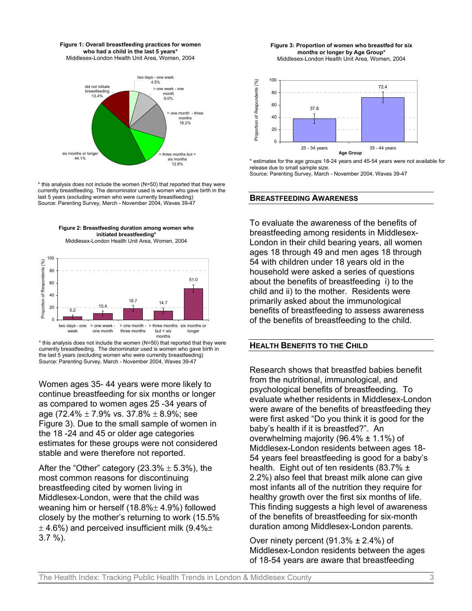



\* this analysis does not include the women (N=50) that reported that they were currently breastfeeding. The denominator used is women who gave birth in the last 5 years (excluding women who were currently breastfeeding) Source: Parenting Survey, March - November 2004, Waves 39-47





\* this analysis does not include the women (N=50) that reported that they were currently breastfeeding. The denominator used is women who gave birth in the last 5 years (excluding women who were currently breastfeeding) Source: Parenting Survey, March - November 2004, Waves 39-47

Women ages 35- 44 years were more likely to continue breastfeeding for six months or longer as compared to women ages 25 -34 years of age (72.4%  $\pm$  7.9% vs. 37.8%  $\pm$  8.9%; see Figure 3). Due to the small sample of women in the 18 -24 and 45 or older age categories estimates for these groups were not considered stable and were therefore not reported.

After the "Other" category (23.3%  $\pm$  5.3%), the most common reasons for discontinuing breastfeeding cited by women living in Middlesex-London, were that the child was weaning him or herself (18.8%± 4.9%) followed closely by the mother's returning to work (15.5%  $\pm$  4.6%) and perceived insufficient milk (9.4% $\pm$ 3.7 %).

**Figure 3: Proportion of women who breastfed for six months or longer by Age Group\*** Middlesex-London Health Unit Area, Women, 2004



\* estimates for the age groups 18-24 years and 45-54 years were not available for release due to small sample size. Source: Parenting Survey, March - November 2004, Waves 39-47

#### **BREASTFEEDING AWARENESS**

To evaluate the awareness of the benefits of breastfeeding among residents in Middlesex-London in their child bearing years, all women ages 18 through 49 and men ages 18 through 54 with children under 18 years old in the household were asked a series of questions about the benefits of breastfeeding i) to the child and ii) to the mother. Residents were primarily asked about the immunological benefits of breastfeeding to assess awareness of the benefits of breastfeeding to the child.

#### **HEALTH BENEFITS TO THE CHILD**

Research shows that breastfed babies benefit from the nutritional, immunological, and psychological benefits of breastfeeding. To evaluate whether residents in Middlesex-London were aware of the benefits of breastfeeding they were first asked "Do you think it is good for the baby's health if it is breastfed?".An overwhelming majority (96.4%  $\pm$  1.1%) of Middlesex-London residents between ages 18- 54 years feel breastfeeding is good for a baby's health. Eight out of ten residents (83.7% ± 2.2%) also feel that breast milk alone can give most infants all of the nutrition they require for healthy growth over the first six months of life. This finding suggests a high level of awareness of the benefits of breastfeeding for six-month duration among Middlesex-London parents.

Over ninety percent (91.3% *±* 2.4%) of Middlesex-London residents between the ages of 18-54 years are aware that breastfeeding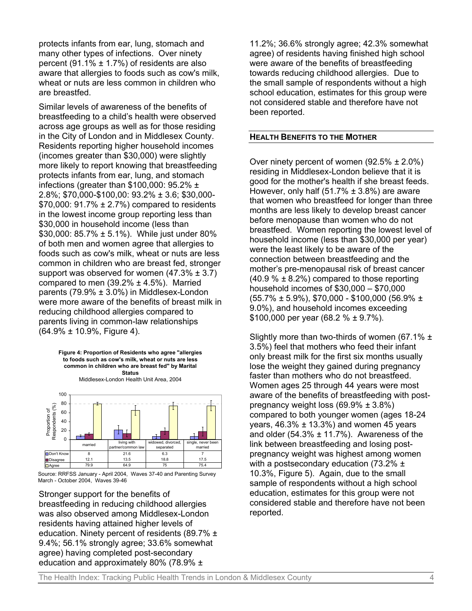protects infants from ear, lung, stomach and many other types of infections. Over ninety percent (91.1%  $\pm$  1.7%) of residents are also aware that allergies to foods such as cow's milk, wheat or nuts are less common in children who are breastfed.

Similar levels of awareness of the benefits of breastfeeding to a child's health were observed across age groups as well as for those residing in the City of London and in Middlesex County. Residents reporting higher household incomes (incomes greater than \$30,000) were slightly more likely to report knowing that breastfeeding protects infants from ear, lung, and stomach infections (greater than \$100,000:  $95.2\%$  ± 2.8%; \$70,000-\$100,00: 93.2% ± 3.6; \$30,000-  $$70,000:91.7\% \pm 2.7\%$  compared to residents in the lowest income group reporting less than \$30,000 in household income (less than \$30,000: 85.7% ± 5.1%). While just under 80% of both men and women agree that allergies to foods such as cow's milk, wheat or nuts are less common in children who are breast fed, stronger support was observed for women  $(47.3\% \pm 3.7)$ compared to men  $(39.2\% \pm 4.5\%)$ . Married parents (79.9% ± 3.0%) in Middlesex-London were more aware of the benefits of breast milk in reducing childhood allergies compared to parents living in common-law relationships (64.9% ± 10.9%, Figure 4).

**Figure 4: Proportion of Residents who agree "allergies to foods such as cow's milk, wheat or nuts are less common in children who are breast fed" by Marital Status** Middlesex-London Health Unit Area, 2004 100 80 Proportion of<br>Respondents (%) Respondents (%)  $\perp$ Proportion of 60 40 20 T  $\Omega$ widowed, divorced, married living with single, never been rtner/common la separated married ■ Don't Know 8 21.6 6.3<br>■ Disagree 12.1 13.5 18.8 Disagree 12.1 13.5 18.8 17.5 Agree | 79.9 | 64.9 | 75 | 75.4

Source: RRFSS January - April 2004, Waves 37-40 and Parenting Survey March - October 2004, Waves 39-46

Stronger support for the benefits of breastfeeding in reducing childhood allergies was also observed among Middlesex-London residents having attained higher levels of education. Ninety percent of residents (89.7% ± 9.4%; 56.1% strongly agree; 33.6% somewhat agree) having completed post-secondary education and approximately 80% (78.9% ±

11.2%; 36.6% strongly agree; 42.3% somewhat agree) of residents having finished high school were aware of the benefits of breastfeeding towards reducing childhood allergies. Due to the small sample of respondents without a high school education, estimates for this group were not considered stable and therefore have not been reported.

#### **HEALTH BENEFITS TO THE MOTHER**

Over ninety percent of women (92.5% *±* 2.0%) residing in Middlesex-London believe that it is good for the mother's health if she breast feeds. However, only half (51.7% *±* 3.8%) are aware that women who breastfeed for longer than three months are less likely to develop breast cancer before menopause than women who do not breastfeed. Women reporting the lowest level of household income (less than \$30,000 per year) were the least likely to be aware of the connection between breastfeeding and the mother's pre-menopausal risk of breast cancer (40.9 % *±* 8.2%) compared to those reporting household incomes of \$30,000 – \$70,000 (55.7% *±* 5.9%), \$70,000 - \$100,000 (56.9% *±* 9.0%), and household incomes exceeding \$100,000 per year (68.2 % *±* 9.7%).

Slightly more than two-thirds of women (67.1% *±* 3.5%) feel that mothers who feed their infant only breast milk for the first six months usually lose the weight they gained during pregnancy faster than mothers who do not breastfeed. Women ages 25 through 44 years were most aware of the benefits of breastfeeding with postpregnancy weight loss (69.9% *±* 3.8%) compared to both younger women (ages 18-24 years, 46.3% *±* 13.3%) and women 45 years and older (54.3% *±* 11.7%).Awareness of the link between breastfeeding and losing postpregnancy weight was highest among women with a postsecondary education (73.2% *±* 10.3%, Figure 5). Again, due to the small sample of respondents without a high school education, estimates for this group were not considered stable and therefore have not been reported.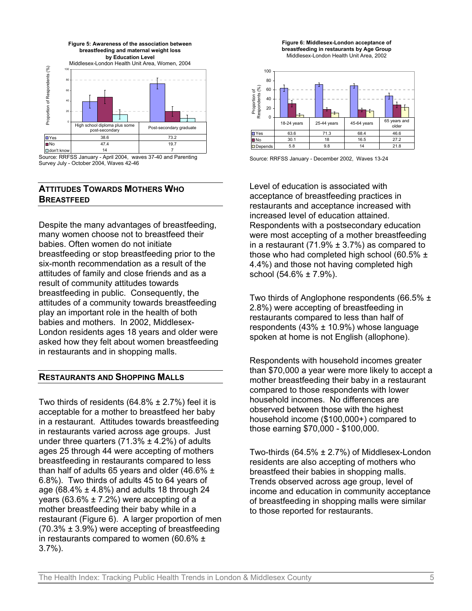

Source: RRFSS January - April 2004, waves 37-40 and Parenting Survey July - October 2004, Waves 42-46

# **ATTITUDES TOWARDS MOTHERS WHO BREASTFEED**

Despite the many advantages of breastfeeding, many women choose not to breastfeed their babies. Often women do not initiate breastfeeding or stop breastfeeding prior to the six-month recommendation as a result of the attitudes of family and close friends and as a result of community attitudes towards breastfeeding in public. Consequently, the attitudes of a community towards breastfeeding play an important role in the health of both babies and mothers. In 2002, Middlesex-London residents ages 18 years and older were asked how they felt about women breastfeeding in restaurants and in shopping malls.

# **RESTAURANTS AND SHOPPING MALLS**

Two thirds of residents  $(64.8\% \pm 2.7\%)$  feel it is acceptable for a mother to breastfeed her baby in a restaurant. Attitudes towards breastfeeding in restaurants varied across age groups. Just under three quarters  $(71.3\% \pm 4.2\%)$  of adults ages 25 through 44 were accepting of mothers breastfeeding in restaurants compared to less than half of adults 65 years and older (46.6%  $\pm$ 6.8%). Two thirds of adults 45 to 64 years of age (68.4%  $\pm$  4.8%) and adults 18 through 24 years (63.6%  $\pm$  7.2%) were accepting of a mother breastfeeding their baby while in a restaurant (Figure 6). A larger proportion of men  $(70.3\% \pm 3.9\%)$  were accepting of breastfeeding in restaurants compared to women (60.6% ± 3.7%).





Source: RRFSS January - December 2002, Waves 13-24

Level of education is associated with acceptance of breastfeeding practices in restaurants and acceptance increased with increased level of education attained. Respondents with a postsecondary education were most accepting of a mother breastfeeding in a restaurant (71.9%  $\pm$  3.7%) as compared to those who had completed high school (60.5%  $\pm$ 4.4%) and those not having completed high school  $(54.6\% \pm 7.9\%)$ .

Two thirds of Anglophone respondents (66.5% ± 2.8%) were accepting of breastfeeding in restaurants compared to less than half of respondents  $(43% \pm 10.9%)$  whose language spoken at home is not English (allophone).

Respondents with household incomes greater than \$70,000 a year were more likely to accept a mother breastfeeding their baby in a restaurant compared to those respondents with lower household incomes. No differences are observed between those with the highest household income (\$100,000+) compared to those earning \$70,000 - \$100,000.

Two-thirds (64.5% ± 2.7%) of Middlesex-London residents are also accepting of mothers who breastfeed their babies in shopping malls. Trends observed across age group, level of income and education in community acceptance of breastfeeding in shopping malls were similar to those reported for restaurants.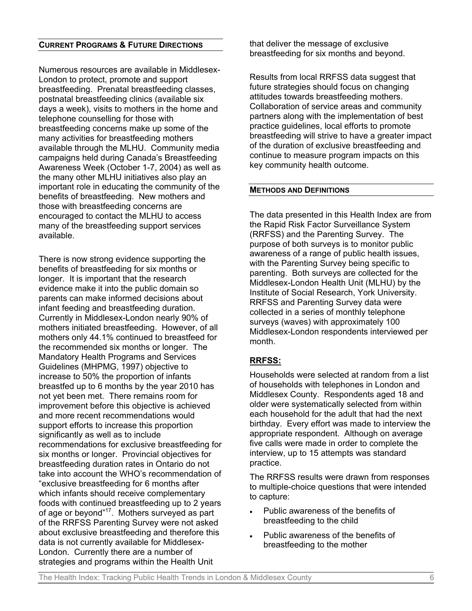### **CURRENT PROGRAMS & FUTURE DIRECTIONS**

Numerous resources are available in Middlesex-London to protect, promote and support breastfeeding. Prenatal breastfeeding classes, postnatal breastfeeding clinics (available six days a week), visits to mothers in the home and telephone counselling for those with breastfeeding concerns make up some of the many activities for breastfeeding mothers available through the MLHU. Community media campaigns held during Canada's Breastfeeding Awareness Week (October 1-7, 2004) as well as the many other MLHU initiatives also play an important role in educating the community of the benefits of breastfeeding. New mothers and those with breastfeeding concerns are encouraged to contact the MLHU to access many of the breastfeeding support services available.

There is now strong evidence supporting the benefits of breastfeeding for six months or longer. It is important that the research evidence make it into the public domain so parents can make informed decisions about infant feeding and breastfeeding duration. Currently in Middlesex-London nearly 90% of mothers initiated breastfeeding. However, of all mothers only 44.1% continued to breastfeed for the recommended six months or longer. The Mandatory Health Programs and Services Guidelines (MHPMG, 1997) objective to increase to 50% the proportion of infants breastfed up to 6 months by the year 2010 has not yet been met. There remains room for improvement before this objective is achieved and more recent recommendations would support efforts to increase this proportion significantly as well as to include recommendations for exclusive breastfeeding for six months or longer. Provincial objectives for breastfeeding duration rates in Ontario do not take into account the WHO's recommendation of "exclusive breastfeeding for 6 months after which infants should receive [complementary](#page-8-9) [foods](#page-8-9) with continued breastfeeding up to 2 years of age or beyond"[17.](#page-8-10) Mothers surveyed as part of the RRFSS Parenting Survey were not asked about exclusive breastfeeding and therefore this data is not currently available for Middlesex-London. Currently there are a number of strategies and programs within the Health Unit

that deliver the message of exclusive breastfeeding for six months and beyond.

Results from local RRFSS data suggest that future strategies should focus on changing attitudes towards breastfeeding mothers. Collaboration of service areas and community partners along with the implementation of best practice guidelines, local efforts to promote breastfeeding will strive to have a greater impact of the duration of exclusive breastfeeding and continue to measure program impacts on this key community health outcome.

#### **METHODS AND DEFINITIONS**

The data presented in this Health Index are from the Rapid Risk Factor Surveillance System (RRFSS) and the Parenting Survey. The purpose of both surveys is to monitor public awareness of a range of public health issues, with the Parenting Survey being specific to parenting. Both surveys are collected for the Middlesex-London Health Unit (MLHU) by the Institute of Social Research, York University. RRFSS and Parenting Survey data were collected in a series of monthly telephone surveys (waves) with approximately 100 Middlesex-London respondents interviewed per month.

# **RRFSS:**

Households were selected at random from a list of households with telephones in London and Middlesex County. Respondents aged 18 and older were systematically selected from within each household for the adult that had the next birthday. Every effort was made to interview the appropriate respondent. Although on average five calls were made in order to complete the interview, up to 15 attempts was standard practice.

The RRFSS results were drawn from responses to multiple-choice questions that were intended to capture:

- Public awareness of the benefits of breastfeeding to the child
- Public awareness of the benefits of breastfeeding to the mother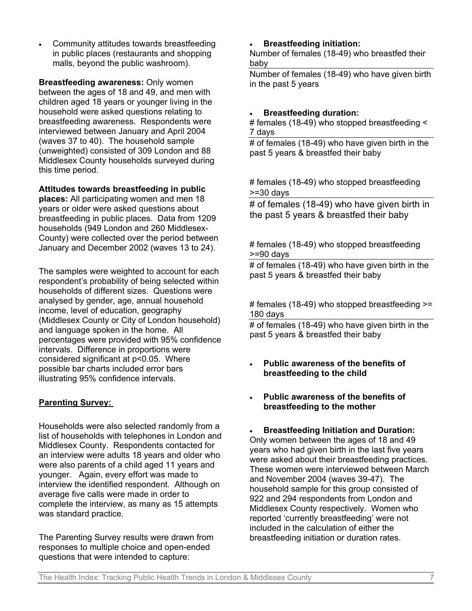• Community attitudes towards breastfeeding in public places (restaurants and shopping malls, beyond the public washroom).

**Breastfeeding awareness:** Only women between the ages of 18 and 49, and men with children aged 18 years or younger living in the household were asked questions relating to breastfeeding awareness. Respondents were interviewed between January and April 2004 (waves 37 to 40). The household sample (unweighted) consisted of 309 London and 88 Middlesex County households surveyed during this time period.

**Attitudes towards breastfeeding in public**

**places:** All participating women and men 18 years or older were asked questions about breastfeeding in public places. Data from 1209 households (949 London and 260 Middlesex-County) were collected over the period between January and December 2002 (waves 13 to 24).

The samples were weighted to account for each respondent's probability of being selected within households of different sizes. Questions were analysed by gender, age, annual household income, level of education, geography (Middlesex County or City of London household) and language spoken in the home. All percentages were provided with 95% confidence intervals. Difference in proportions were considered significant at p<0.05. Where possible bar charts included error bars illustrating 95% confidence intervals.

# **Parenting Survey:**

Households were also selected randomly from a list of households with telephones in London and Middlesex County. Respondents contacted for an interview were adults 18 years and older who were also parents of a child aged 11 years and younger. Again, every effort was made to interview the identified respondent. Although on average five calls were made in order to complete the interview, as many as 15 attempts was standard practice.

The Parenting Survey results were drawn from responses to multiple choice and open-ended questions that were intended to capture:

• **Breastfeeding initiation:** 

Number of females (18-49) who breastfed their baby

Number of females (18-49) who have given birth in the past 5 years

# • **Breastfeeding duration:**

# females (18-49) who stopped breastfeeding < 7 days

# of females (18-49) who have given birth in the past 5 years & breastfed their baby

# females (18-49) who stopped breastfeeding >=30 days

# of females (18-49) who have given birth in the past 5 years & breastfed their baby

## # females (18-49) who stopped breastfeeding >=90 days

# of females (18-49) who have given birth in the past 5 years & breastfed their baby

# females (18-49) who stopped breastfeeding >= 180 days

# of females (18-49) who have given birth in the past 5 years & breastfed their baby

- **Public awareness of the benefits of breastfeeding to the child**
- **Public awareness of the benefits of breastfeeding to the mother**

• **Breastfeeding Initiation and Duration:** Only women between the ages of 18 and 49 years who had given birth in the last five years were asked about their breastfeeding practices. These women were interviewed between March and November 2004 (waves 39-47). The household sample for this group consisted of 922 and 294 respondents from London and Middlesex County respectively. Women who reported 'currently breastfeeding' were not included in the calculation of either the breastfeeding initiation or duration rates.

The Health Index: Tracking Public Health Trends in London & Middlesex County 7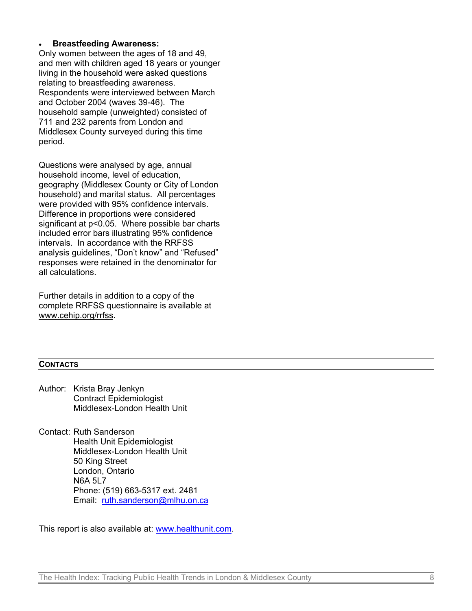### • **Breastfeeding Awareness:**

Only women between the ages of 18 and 49, and men with children aged 18 years or younger living in the household were asked questions relating to breastfeeding awareness. Respondents were interviewed between March and October 2004 (waves 39-46). The household sample (unweighted) consisted of 711 and 232 parents from London and Middlesex County surveyed during this time period.

Questions were analysed by age, annual household income, level of education, geography (Middlesex County or City of London household) and marital status. All percentages were provided with 95% confidence intervals. Difference in proportions were considered significant at p<0.05. Where possible bar charts included error bars illustrating 95% confidence intervals. In accordance with the RRFSS analysis guidelines, "Don't know" and "Refused" responses were retained in the denominator for all calculations.

Further details in addition to a copy of the complete RRFSS questionnaire is available at www.cehip.org/rrfss.

#### **CONTACTS**

- Author: Krista Bray Jenkyn Contract Epidemiologist Middlesex-London Health Unit
- Contact: Ruth Sanderson Health Unit Epidemiologist Middlesex-London Health Unit 50 King Street London, Ontario N6A 5L7 Phone: (519) 663-5317 ext. 2481 Email: [ruth.sanderson@mlhu.on.ca](mailto:ruth.sanderson@mlhu.on.ca)

This report is also available at: [www.healthunit.com.](http://www.healthunit.com/)